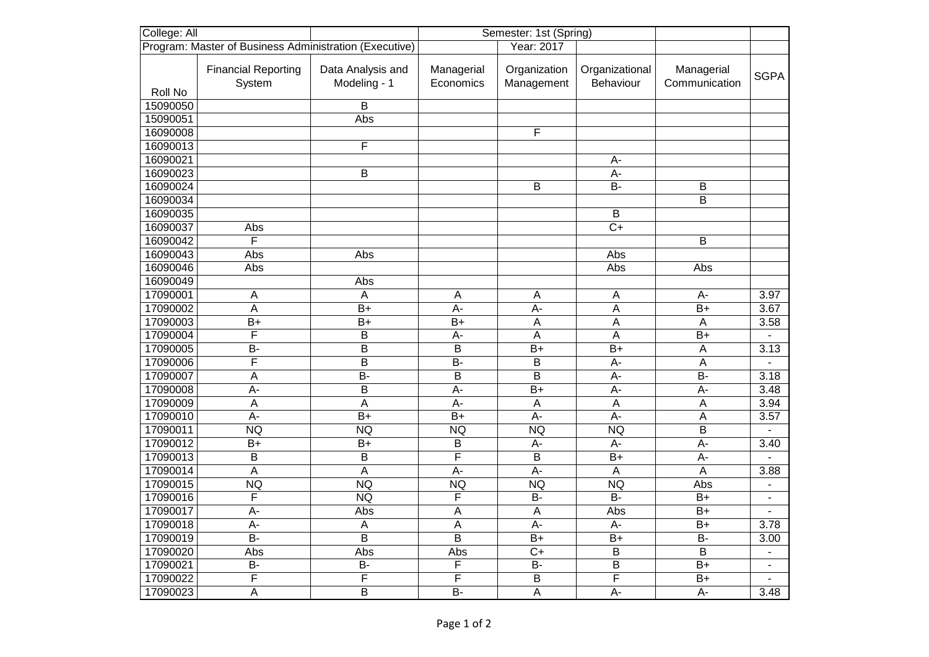| College: All                                           |                                      | Semester: 1st (Spring)            |                         |                            |                             |                             |                          |
|--------------------------------------------------------|--------------------------------------|-----------------------------------|-------------------------|----------------------------|-----------------------------|-----------------------------|--------------------------|
| Program: Master of Business Administration (Executive) |                                      |                                   |                         | Year: 2017                 |                             |                             |                          |
|                                                        | <b>Financial Reporting</b><br>System | Data Analysis and<br>Modeling - 1 | Managerial<br>Economics | Organization<br>Management | Organizational<br>Behaviour | Managerial<br>Communication | <b>SGPA</b>              |
| Roll No                                                |                                      |                                   |                         |                            |                             |                             |                          |
| 15090050                                               |                                      | B                                 |                         |                            |                             |                             |                          |
| 15090051                                               |                                      | Abs                               |                         |                            |                             |                             |                          |
| 16090008                                               |                                      |                                   |                         | F                          |                             |                             |                          |
| 16090013                                               |                                      | F                                 |                         |                            |                             |                             |                          |
| 16090021                                               |                                      |                                   |                         |                            | A-                          |                             |                          |
| 16090023                                               |                                      | B                                 |                         |                            | $A -$                       |                             |                          |
| 16090024                                               |                                      |                                   |                         | $\overline{B}$             | $B -$                       | B                           |                          |
| 16090034                                               |                                      |                                   |                         |                            |                             | B                           |                          |
| 16090035                                               |                                      |                                   |                         |                            | B                           |                             |                          |
| 16090037                                               | Abs                                  |                                   |                         |                            | $\overline{C}$              |                             |                          |
| 16090042                                               | F                                    |                                   |                         |                            |                             | B                           |                          |
| 16090043                                               | Abs                                  | Abs                               |                         |                            | Abs                         |                             |                          |
| 16090046                                               | Abs                                  |                                   |                         |                            | Abs                         | Abs                         |                          |
| 16090049                                               |                                      | Abs                               |                         |                            |                             |                             |                          |
| 17090001                                               | A                                    | A                                 | A                       | A                          | $\overline{A}$              | $A-$                        | 3.97                     |
| 17090002                                               | $\overline{\mathsf{A}}$              | $\overline{B+}$                   | $\overline{A}$ -        | $\overline{A}$             | $\overline{A}$              | $\overline{B+}$             | 3.67                     |
| 17090003                                               | $B+$                                 | $B+$                              | $B+$                    | $\overline{A}$             | $\overline{A}$              | $\overline{A}$              | 3.58                     |
| 17090004                                               | F                                    | B                                 | $A -$                   | A                          | A                           | $\overline{B+}$             |                          |
| 17090005                                               | $\overline{B}$                       | $\overline{\mathsf{B}}$           | $\mathsf B$             | $\overline{B+}$            | $\overline{B+}$             | $\boldsymbol{\mathsf{A}}$   | 3.13                     |
| 17090006                                               | $\overline{\mathsf{F}}$              | $\overline{\mathsf{B}}$           | $\overline{B}$          | $\overline{B}$             | $A -$                       | $\overline{A}$              |                          |
| 17090007                                               | A                                    | $\overline{B}$                    | B                       | B                          | A-                          | $B -$                       | 3.18                     |
| 17090008                                               | $A -$                                | B                                 | A-                      | $B+$                       | A-                          | A-                          | 3.48                     |
| 17090009                                               | A                                    | A                                 | A-                      | A                          | $\boldsymbol{\mathsf{A}}$   | $\overline{A}$              | 3.94                     |
| 17090010                                               | $\overline{A}$                       | $B+$                              | $\overline{B+}$         | $A -$                      | $\overline{A}$ -            | $\overline{A}$              | 3.57                     |
| 17090011                                               | <b>NQ</b>                            | $\overline{NQ}$                   | <b>NQ</b>               | NQ                         | <b>NQ</b>                   | $\overline{B}$              | $\blacksquare$           |
| 17090012                                               | $B+$                                 | $B+$                              | $\sf B$                 | A-                         | A-                          | A-                          | 3.40                     |
| 17090013                                               | B                                    | B                                 | F                       | B                          | $B+$                        | A-                          |                          |
| 17090014                                               | $\overline{A}$                       | $\overline{A}$                    | $\overline{A}$ -        | $\overline{A}$ -           | A                           | $\overline{A}$              | 3.88                     |
| 17090015                                               | <b>NQ</b>                            | $\overline{NQ}$                   | NQ                      | $\overline{NQ}$            | NQ                          | Abs                         |                          |
| 17090016                                               | F                                    | <b>NQ</b>                         | F                       | B-                         | $\overline{B}$              | $B+$                        | $\blacksquare$           |
| 17090017                                               | A-                                   | Abs                               | A                       | $\overline{A}$             | Abs                         | $B+$                        |                          |
| 17090018                                               | $A -$                                | $\overline{A}$                    | $\overline{A}$          | $A -$                      | $A -$                       | $B+$                        | 3.78                     |
| 17090019                                               | $B -$                                | $\overline{\mathsf{B}}$           | B                       | $\overline{B+}$            | $\overline{B+}$             | $B -$                       | 3.00                     |
| 17090020                                               | Abs                                  | Abs                               | Abs                     | $\overline{C}$             | $\overline{B}$              | B                           | $\blacksquare$           |
| 17090021                                               | <b>B-</b>                            | $B -$                             | F                       | $B -$                      | B                           | $B+$                        | $\overline{\phantom{a}}$ |
| 17090022                                               | F                                    | F                                 | F                       | $\overline{B}$             | F                           | $\overline{B+}$             |                          |
| 17090023                                               | A                                    | B                                 | $B -$                   | $\overline{A}$             | A-                          | A-                          | 3.48                     |